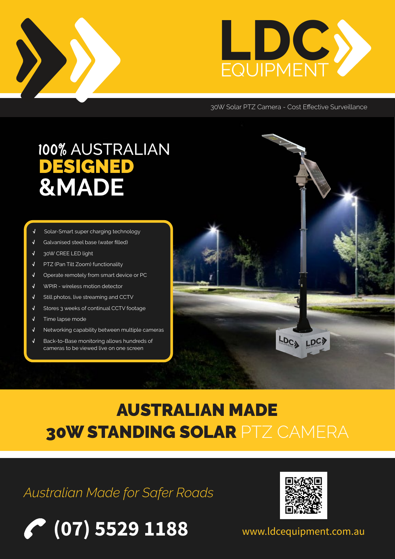



30W Solar PTZ Camera - Cost Effective Surveillance

# 100% AUSTRALIAN<br>DESIGNED<br>&MADE

- **√** Solar-Smart super charging technology
- **√** Galvanised steel base (water filled)
- **√** 30W CREE LED light
- **√** PTZ (Pan Tilt Zoom) functionality
- **√** Operate remotely from smart device or PC
- **√** WPIR wireless motion detector
- **√** Still photos, live streaming and CCTV
- **√** Stores 3 weeks of continual CCTV footage
- **√** Time lapse mode
- **√** Networking capability between multiple cameras
- **√** Back-to-Base monitoring allows hundreds of cameras to be viewed live on one screen



## AUSTRALIAN MADE 30W STANDING SOLAR PTZ CAMERA

### *Australian Made for Safer Roads*





www.ldcequipment.com.au